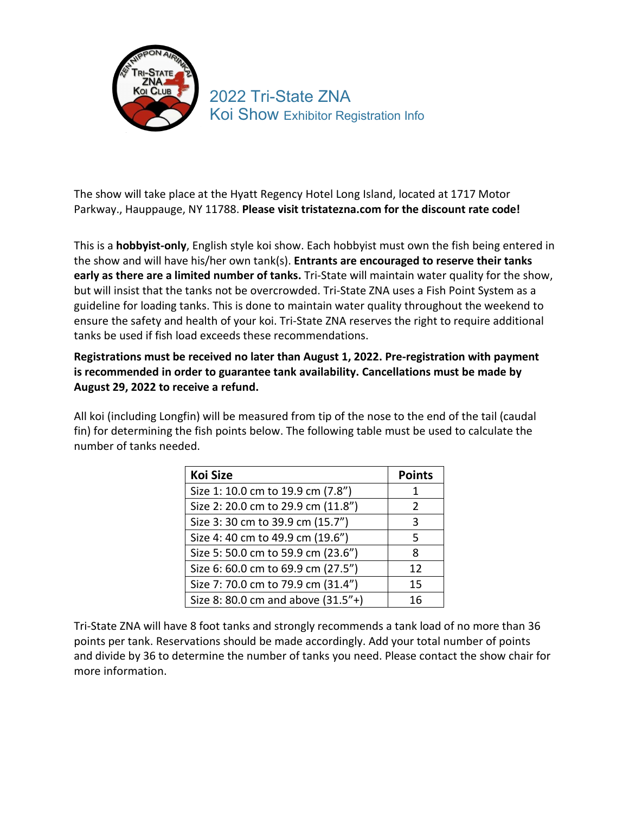

## 2022 Tri-State ZNA Koi Show Exhibitor Registration Info

The show will take place at the Hyatt Regency Hotel Long Island, located at 1717 Motor Parkway., Hauppauge, NY 11788. **Please visit tristatezna.com for the discount rate code!**

This is a **hobbyist-only**, English style koi show. Each hobbyist must own the fish being entered in the show and will have his/her own tank(s). **Entrants are encouraged to reserve their tanks early as there are a limited number of tanks.** Tri-State will maintain water quality for the show, but will insist that the tanks not be overcrowded. Tri-State ZNA uses a Fish Point System as a guideline for loading tanks. This is done to maintain water quality throughout the weekend to ensure the safety and health of your koi. Tri-State ZNA reserves the right to require additional tanks be used if fish load exceeds these recommendations.

**Registrations must be received no later than August 1, 2022. Pre-registration with payment is recommended in order to guarantee tank availability. Cancellations must be made by August 29, 2022 to receive a refund.** 

All koi (including Longfin) will be measured from tip of the nose to the end of the tail (caudal fin) for determining the fish points below. The following table must be used to calculate the number of tanks needed.

| <b>Koi Size</b>                    | <b>Points</b> |
|------------------------------------|---------------|
| Size 1: 10.0 cm to 19.9 cm (7.8")  |               |
| Size 2: 20.0 cm to 29.9 cm (11.8") | $\mathcal{P}$ |
| Size 3: 30 cm to 39.9 cm (15.7")   | 3             |
| Size 4: 40 cm to 49.9 cm (19.6")   | 5             |
| Size 5: 50.0 cm to 59.9 cm (23.6") | 8             |
| Size 6: 60.0 cm to 69.9 cm (27.5") | 12            |
| Size 7: 70.0 cm to 79.9 cm (31.4") | 15            |
| Size 8: 80.0 cm and above (31.5"+) | 16            |

Tri-State ZNA will have 8 foot tanks and strongly recommends a tank load of no more than 36 points per tank. Reservations should be made accordingly. Add your total number of points and divide by 36 to determine the number of tanks you need. Please contact the show chair for more information.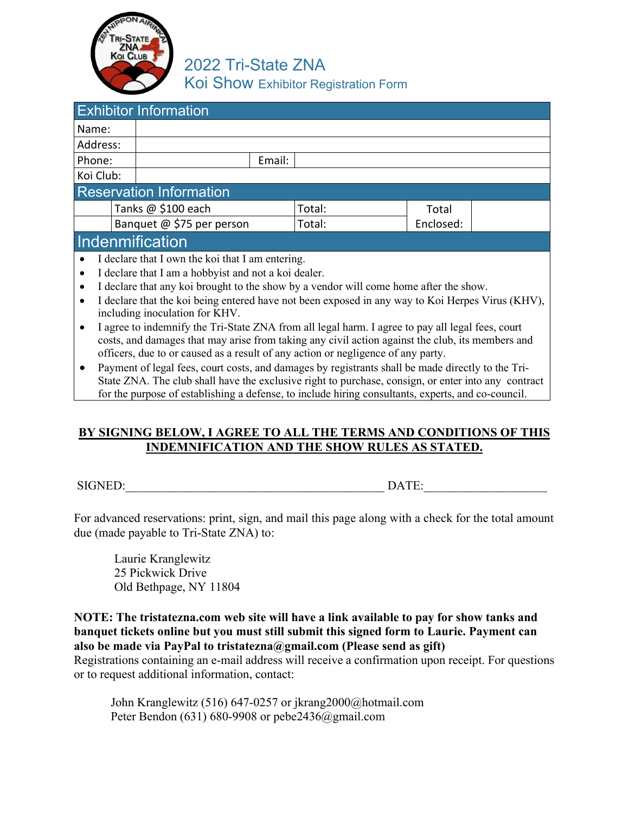

2022 Tri-State ZNA Koi Show Exhibitor Registration Form

| <b>Exhibitor Information</b>                              |                                                                                                   |  |        |           |       |  |
|-----------------------------------------------------------|---------------------------------------------------------------------------------------------------|--|--------|-----------|-------|--|
| Name:                                                     |                                                                                                   |  |        |           |       |  |
| Address:                                                  |                                                                                                   |  |        |           |       |  |
| Phone:                                                    |                                                                                                   |  | Email: |           |       |  |
| Koi Club:                                                 |                                                                                                   |  |        |           |       |  |
| <b>Reservation Information</b>                            |                                                                                                   |  |        |           |       |  |
|                                                           | Tanks @ \$100 each                                                                                |  |        | Total:    | Total |  |
| Banquet @ \$75 per person                                 |                                                                                                   |  | Total: | Enclosed: |       |  |
| Indenmification                                           |                                                                                                   |  |        |           |       |  |
| I declare that I own the koi that I am entering.          |                                                                                                   |  |        |           |       |  |
| I declare that I am a hobbyist and not a koi dealer.<br>٠ |                                                                                                   |  |        |           |       |  |
| $\bullet$                                                 | I declare that any koi brought to the show by a vendor will come home after the show.             |  |        |           |       |  |
| $\bullet$                                                 | I declare that the koi being entered have not been exposed in any way to Koi Herpes Virus (KHV),  |  |        |           |       |  |
| including inoculation for KHV.                            |                                                                                                   |  |        |           |       |  |
|                                                           | I agree to indemnify the Tri-State ZNA from all legal harm. I agree to pay all legal fees, court  |  |        |           |       |  |
|                                                           | costs, and damages that may arise from taking any civil action against the club, its members and  |  |        |           |       |  |
|                                                           | officers, due to or caused as a result of any action or negligence of any party.                  |  |        |           |       |  |
|                                                           | Payment of legal fees, court costs, and damages by registrants shall be made directly to the Tri- |  |        |           |       |  |

State ZNA. The club shall have the exclusive right to purchase, consign, or enter into any contract for the purpose of establishing a defense, to include hiring consultants, experts, and co-council.

## **BY SIGNING BELOW, I AGREE TO ALL THE TERMS AND CONDITIONS OF THIS INDEMNIFICATION AND THE SHOW RULES AS STATED.**

SIGNED:\_\_\_\_\_\_\_\_\_\_\_\_\_\_\_\_\_\_\_\_\_\_\_\_\_\_\_\_\_\_\_\_\_\_\_\_\_\_\_\_\_\_ DATE:\_\_\_\_\_\_\_\_\_\_\_\_\_\_\_\_\_\_\_\_

For advanced reservations: print, sign, and mail this page along with a check for the total amount due (made payable to Tri-State ZNA) to:

Laurie Kranglewitz 25 Pickwick Drive Old Bethpage, NY 11804

**NOTE: The tristatezna.com web site will have a link available to pay for show tanks and banquet tickets online but you must still submit this signed form to Laurie. Payment can also be made via PayPal to tristatezna@gmail.com (Please send as gift)**

Registrations containing an e-mail address will receive a confirmation upon receipt. For questions or to request additional information, contact:

John Kranglewitz (516) 647-0257 or [jkrang2000@hotm](mailto:unispacer@aol.com)ail.com Peter Bendon (631) 680-9908 or pebe2436@gmail.com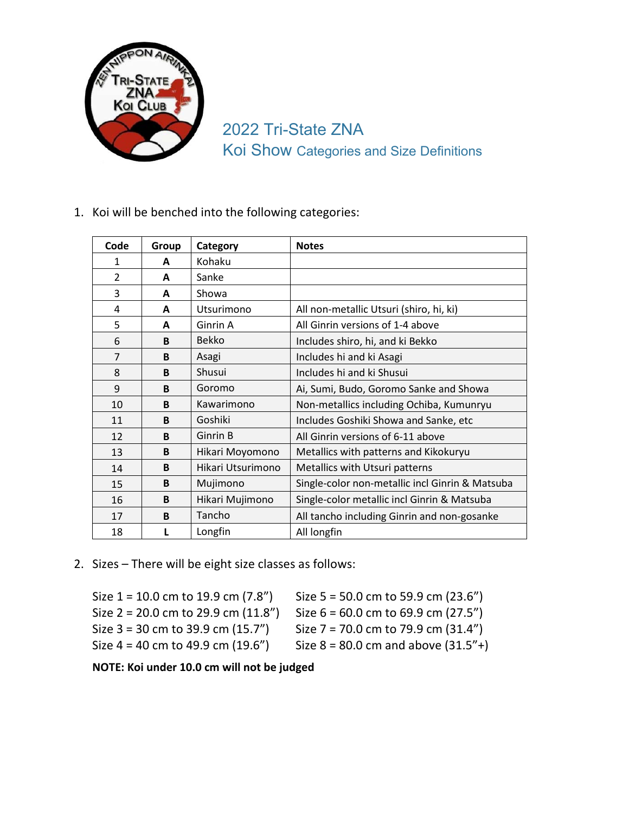

Tri-State ZNA Koi Show Categories and Size Definitions

1. Koi will be benched into the following categories:

| Code           | Group | Category          | <b>Notes</b>                                    |
|----------------|-------|-------------------|-------------------------------------------------|
| $\mathbf{1}$   | A     | Kohaku            |                                                 |
| $\overline{2}$ | A     | Sanke             |                                                 |
| 3              | A     | Showa             |                                                 |
| 4              | A     | Utsurimono        | All non-metallic Utsuri (shiro, hi, ki)         |
| 5              | A     | Ginrin A          | All Ginrin versions of 1-4 above                |
| 6              | B     | <b>Bekko</b>      | Includes shiro, hi, and ki Bekko                |
| $\overline{7}$ | B     | Asagi             | Includes hi and ki Asagi                        |
| 8              | B     | Shusui            | Includes hi and ki Shusui                       |
| 9              | B     | Goromo            | Ai, Sumi, Budo, Goromo Sanke and Showa          |
| 10             | B     | Kawarimono        | Non-metallics including Ochiba, Kumunryu        |
| 11             | B     | Goshiki           | Includes Goshiki Showa and Sanke, etc           |
| 12             | B     | Ginrin B          | All Ginrin versions of 6-11 above               |
| 13             | B     | Hikari Moyomono   | Metallics with patterns and Kikokuryu           |
| 14             | B     | Hikari Utsurimono | Metallics with Utsuri patterns                  |
| 15             | B     | Mujimono          | Single-color non-metallic incl Ginrin & Matsuba |
| 16             | B     | Hikari Mujimono   | Single-color metallic incl Ginrin & Matsuba     |
| 17             | B     | Tancho            | All tancho including Ginrin and non-gosanke     |
| 18             |       | Longfin           | All longfin                                     |

2. Sizes – There will be eight size classes as follows:

| Size $1 = 10.0$ cm to 19.9 cm $(7.8n)$   | Size $5 = 50.0$ cm to 59.9 cm (23.6")    |
|------------------------------------------|------------------------------------------|
| Size $2 = 20.0$ cm to 29.9 cm $(11.8'')$ | Size $6 = 60.0$ cm to 69.9 cm (27.5")    |
| Size $3 = 30$ cm to 39.9 cm $(15.7'')$   | Size $7 = 70.0$ cm to 79.9 cm $(31.4'')$ |
| Size $4 = 40$ cm to 49.9 cm $(19.6'')$   | Size $8 = 80.0$ cm and above $(31.5"+)$  |

**NOTE: Koi under 10.0 cm will not be judged**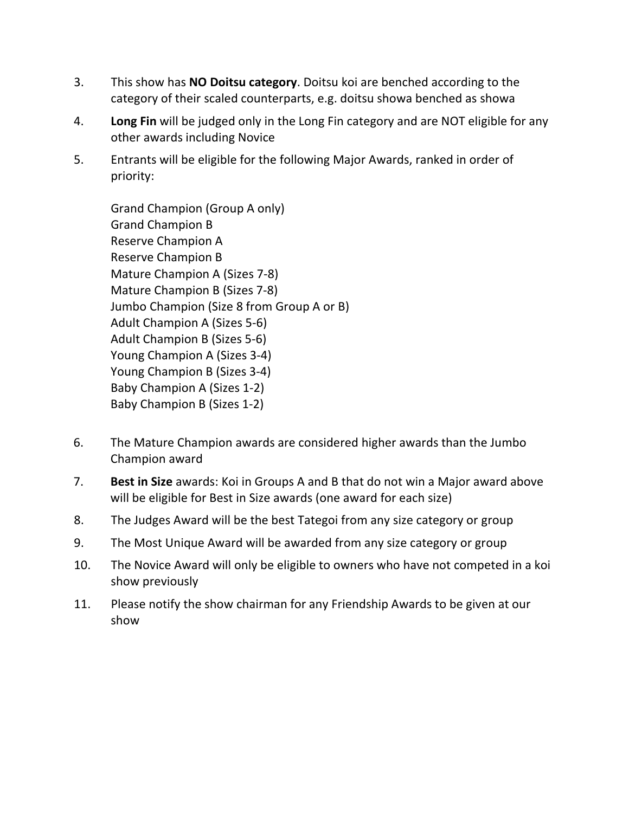- 3. This show has **NO Doitsu category**. Doitsu koi are benched according to the category of their scaled counterparts, e.g. doitsu showa benched as showa
- 4. **Long Fin** will be judged only in the Long Fin category and are NOT eligible for any other awards including Novice
- 5. Entrants will be eligible for the following Major Awards, ranked in order of priority:

Grand Champion (Group A only) Grand Champion B Reserve Champion A Reserve Champion B Mature Champion A (Sizes 7-8) Mature Champion B (Sizes 7-8) Jumbo Champion (Size 8 from Group A or B) Adult Champion A (Sizes 5-6) Adult Champion B (Sizes 5-6) Young Champion A (Sizes 3-4) Young Champion B (Sizes 3-4) Baby Champion A (Sizes 1-2) Baby Champion B (Sizes 1-2)

- 6. The Mature Champion awards are considered higher awards than the Jumbo Champion award
- 7. **Best in Size** awards: Koi in Groups A and B that do not win a Major award above will be eligible for Best in Size awards (one award for each size)
- 8. The Judges Award will be the best Tategoi from any size category or group
- 9. The Most Unique Award will be awarded from any size category or group
- 10. The Novice Award will only be eligible to owners who have not competed in a koi show previously
- 11. Please notify the show chairman for any Friendship Awards to be given at our show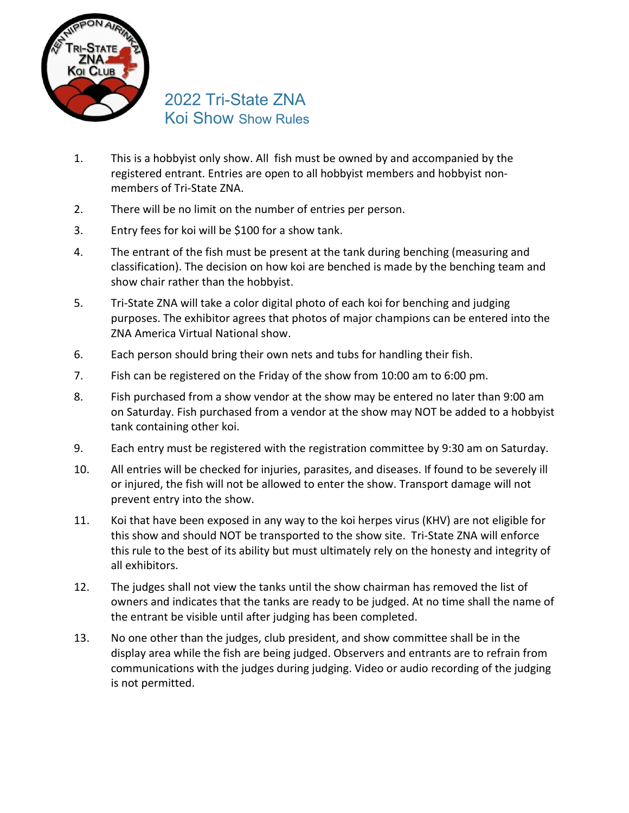

## 2022 Tri-State ZNA Koi Show Show Rules

- 1. This is a hobbyist only show. All fish must be owned by and accompanied by the registered entrant. Entries are open to all hobbyist members and hobbyist nonmembers of Tri-State ZNA.
- 2. There will be no limit on the number of entries per person.
- 3. Entry fees for koi will be \$100 for a show tank.
- 4. The entrant of the fish must be present at the tank during benching (measuring and classification). The decision on how koi are benched is made by the benching team and show chair rather than the hobbyist.
- 5. Tri-State ZNA will take a color digital photo of each koi for benching and judging purposes. The exhibitor agrees that photos of major champions can be entered into the ZNA America Virtual National show.
- 6. Each person should bring their own nets and tubs for handling their fish.
- 7. Fish can be registered on the Friday of the show from 10:00 am to 6:00 pm.
- 8. Fish purchased from a show vendor at the show may be entered no later than 9:00 am on Saturday. Fish purchased from a vendor at the show may NOT be added to a hobbyist tank containing other koi.
- 9. Each entry must be registered with the registration committee by 9:30 am on Saturday.
- 10. All entries will be checked for injuries, parasites, and diseases. If found to be severely ill or injured, the fish will not be allowed to enter the show. Transport damage will not prevent entry into the show.
- 11. Koi that have been exposed in any way to the koi herpes virus (KHV) are not eligible for this show and should NOT be transported to the show site. Tri-State ZNA will enforce this rule to the best of its ability but must ultimately rely on the honesty and integrity of all exhibitors.
- 12. The judges shall not view the tanks until the show chairman has removed the list of owners and indicates that the tanks are ready to be judged. At no time shall the name of the entrant be visible until after judging has been completed.
- 13. No one other than the judges, club president, and show committee shall be in the display area while the fish are being judged. Observers and entrants are to refrain from communications with the judges during judging. Video or audio recording of the judging is not permitted.